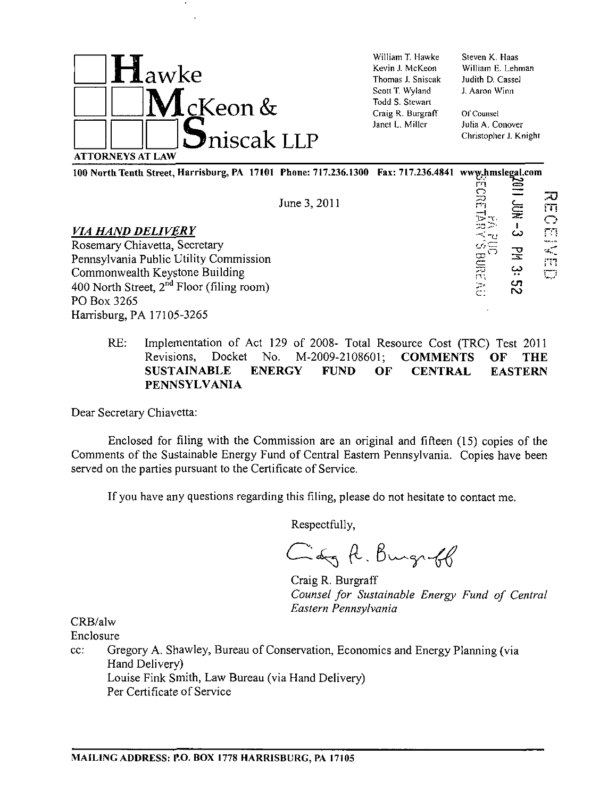

William T. Hawke Kevin J. McKeon Thomas J. Sniscak Scott T. Wyland Todd S. Stewart Craig R. Burgraff\* Janet L. Miller

Steven K. Haas William E. Lehman Judith D. Cassel J. Aaron Winn

Of Counsel Julia A. Conover Christopher J. Knight

100 North Tenth Street, Harrisburg, PA 17101 Phone: 717.236.1300 Fax: 717.236.4841 www.hmslegal.com

June 3, 2011

# *VIA HAND DELIVERY*

Rosemary Chiavetta, Secretary Pennsylvania Public Utility Commission Commonwealth Keystone Building 400 North Street,  $2<sup>nd</sup>$  Floor (filing room) PO Box 3265 Harrisburg, PA 17105-3265

- rn REC<br>II JUN<br>I - MN JUN ה<br>ה o<br>Dunia<br>Dunia<br>Dunia<br>Dunia<br>Dunia<br>Dunia<br>Dunia<br>Dunia<br>Dunia<br>Dunia<br>Dunia<br>Dunia<br>Dunia<br>Dunia<br>Dunia<br>Dunia<br>Dunia<br>Dunia<br>Dunia<br>Dunia<br>Dunia<br>Dunia<br>Dunia<br>Dunia<br>Dunia<br>Dunia<br>Dunia<br>Dunia<br>Dunia<br>Dunia<br>Dunia<br>Dunia<br>Dunia<br>Dunia<br>Dunia<br>Duni  $\mathbf{r}$ 1 س  $\mathbb{F}$ CP -^v -  $\mathbb{H}$   $\mathbf{e}$   $\mathbb{H}$ <sup>1</sup> 1 بي c :
- RE: Implementation of Act 129 of 2008- Total Resource Cost (TRC) Test 2011 Revisions, Docket No. M-2009-2108601; COMMENTS OF THE SUSTAINABLE ENERGY FUND OF CENTRAL EASTERN PENNSYLVANIA

Dear Secretary Chiavetta:

Enclosed for filing with the Commission are an original and fifteen (15) copies of the Comments of the Sustainable Energy Fund of Central Eastern Pennsylvania. Copies have been served on the parties pursuant to the Certificate of Service.

If you have any questions regarding this filing, please do not hesitate to contact me.

Respectfully,

Cary R. Burght

Craig R. Burgraff *Counsel for Sustainable Energy Fund of Central Eastern Pennsylvania* 

CRB/alw

Enclosure

cc: Gregory A. Shawley, Bureau of Conservation, Economics and Energy Planning (via Hand Delivery) Louise Fink Smith, Law Bureau (via Hand Delivery) Per Certificate of Service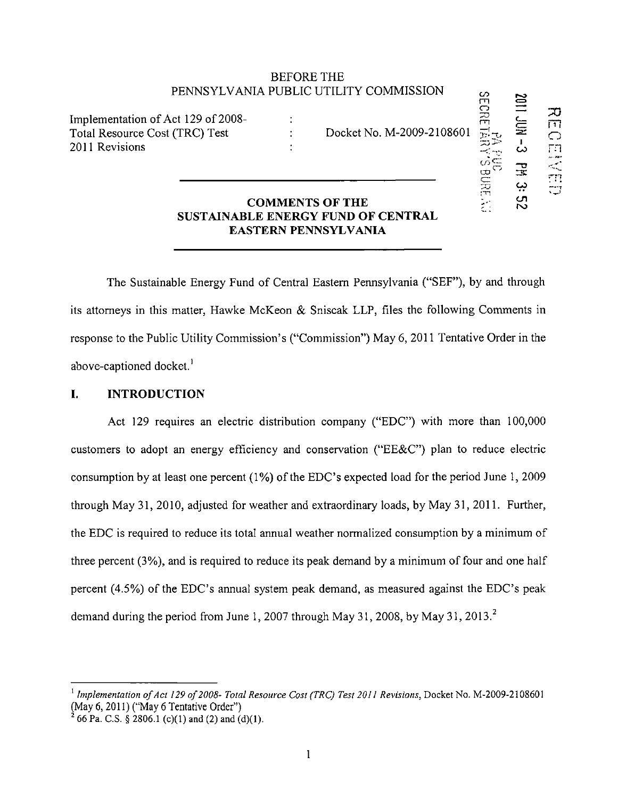# BEFORE THE PENNSYLVANIA PUBLIC UTILITY COMMISSION

 $\ddot{\cdot}$  $\ddot{\cdot}$  $\ddot{\cdot}$ 

Implementation of Act 129 of 2008- Total Resource Cost (TRC) Test 2011 Revisions

Docket No. M-2009-2108601 t-v- SECRETAi .—i 1

2011 Jun-2012

 $\Xi$ يب cn ro

 $\overline{\mathbf{C}}$  .  $\frac{1}{\sqrt{2}}$ 

 $\varpi$ t\*i  $\subset$  $\omega$  rn

tii<br>Tii

# **COMMENTS OF THE SUSTAINABLE ENERGY FUND OF CENTRAL EASTERN PENNSYLVANIA**

**The Sustainable Energy Fund of Central Eastern Pennsylvania ("SEF"), by and through its attorneys in this matter, Hawke McKeon & Sniscak LLP, files the following Comments in response to the Public Utility Commission's ("Commission") May 6, 2011 Tentative Order in the above-captioned docket.<sup>1</sup>**

# **I. INTRODUCTION**

Act 129 requires an electric distribution company ("EDC") with more than 100,000 customers to adopt an energy efficiency and conservation ("EE&C") plan to reduce electric consumption by at least one percent (1%) of the EDC's expected load for the period June 1, 2009 through May 31, 2010, adjusted for weather and extraordinary loads, by May 31, 2011. Further, the EDC is required to reduce its total annual weather normalized consumption by a minimum of three percent (3%), and is required to reduce its peak demand by a minimum of four and one half percent (4.5%) of the EDC's annual system peak demand, as measured against the EDC's peak demand during the period from June 1, 2007 through May 31, 2008, by May 31, 2013.<sup>2</sup>

<sup>&</sup>lt;sup>1</sup> Implementation of Act 129 of 2008- Total Resource Cost (TRC) Test 2011 Revisions, Docket No. M-2009-2108601 (May 6, 2011) ("May 6 Tentative Order")

<sup>2</sup> 66 Pa. C.S. § 2806.1 (c)(1) and (2) and (d)(1).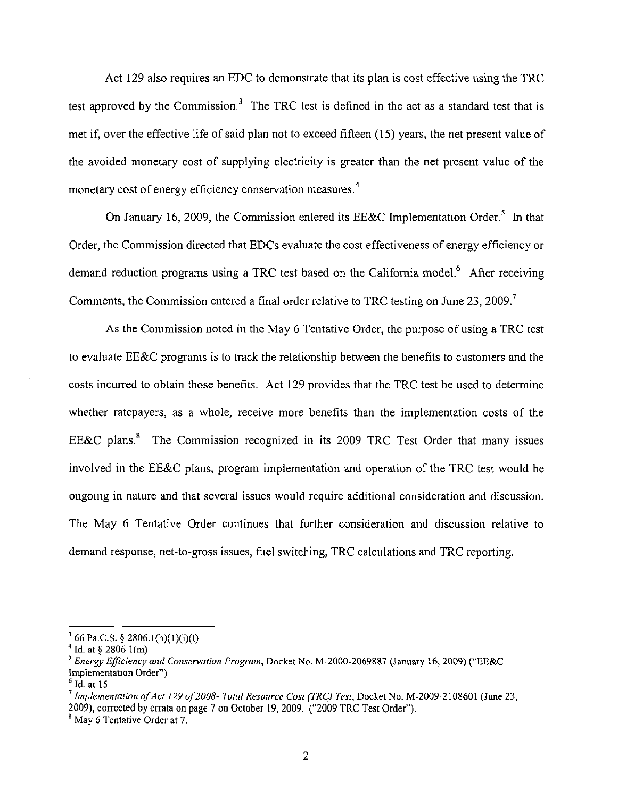Act 129 also requires an EDC to demonstrate that its plan is cost effective using the TRC test approved by the Commission.<sup>3</sup> The TRC test is defined in the act as a standard test that is met if, over the effective life of said plan not to exceed fifteen (15) years, the net present value of the avoided monetary cost of supplying electricity is greater than the net present value of the monetary cost of energy efficiency conservation measures.<sup>4</sup>

On January 16, 2009, the Commission entered its EE&C Implementation Order.<sup>5</sup> In that Order, the Commission directed that EDCs evaluate the cost effectiveness of energy efficiency or demand reduction programs using a TRC test based on the California model.<sup>6</sup> After receiving Comments, the Commission entered a final order relative to TRC testing on June 23, 2009.<sup>7</sup>

As the Commission noted in the May 6 Tentative Order, the purpose of using a TRC test to evaluate EE&C programs is to track the relationship between the benefits to customers and the costs incurred to obtain those benefits. Act 129 provides that the TRC test be used to determine whether ratepayers, as a whole, receive more benefits than the implementation costs of the EE&C plans.<sup>8</sup> The Commission recognized in its 2009 TRC Test Order that many issues involved in the EE&C plans, program implementation and operation of the TRC test would be ongoing in nature and that several issues would require additional consideration and discussion. The May 6 Tentative Order continues that further consideration and discussion relative to demand response, net-to-gross issues, fuel switching, TRC calculations and TRC reporting.

 $3^{3}$  66 Pa.C.S. § 2806.1(b)(1)(i)(I).

 $^{4}$  Id. at § 2806.1(m)

<sup>&</sup>lt;sup>3</sup> Energy Efficiency and Conservation Program, Docket No. M-2000-2069887 (January 16, 2009) ("EE&C Implementation Order")

 $^{\circ}$  Id. at 15

 $'$  Implementation of Act 129 of 2008- Total Resource Cost (TRC) Test, Docket No. M-2009-2108601 (June 23, 2009), corrected by errata on page 7 on October 19, 2009. ("2009 TRC Test Order").

<sup>&</sup>lt;sup>8</sup> May 6 Tentative Order at 7.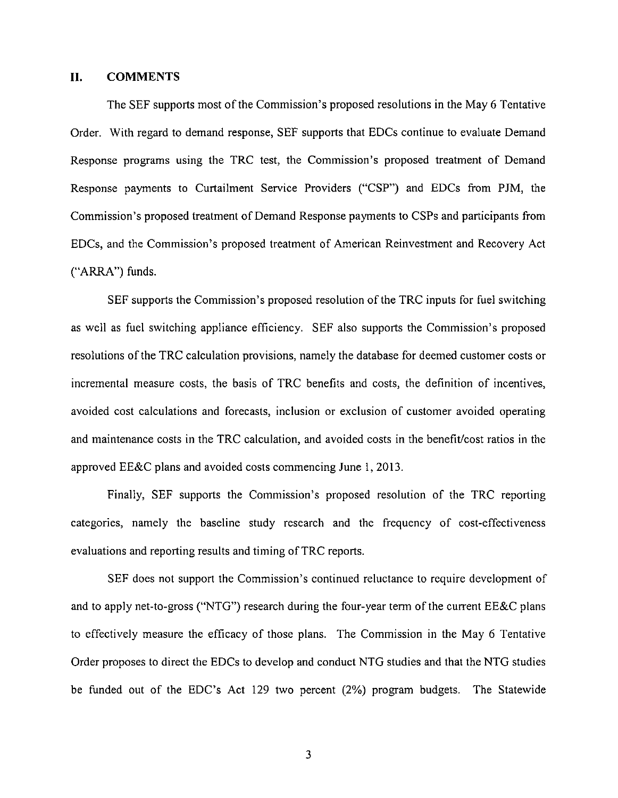#### **II. COMMENTS**

The SEF supports most of the Commission's proposed resolutions in the May 6 Tentative Order. With regard to demand response, SEF supports that EDCs continue to evaluate Demand Response programs using the TRC test, the Commission's proposed treatment of Demand Response payments to Curtailment Service Providers ("CSP") and EDCs from PJM, the Commission's proposed treatment of Demand Response payments to CSPs and participants from EDCs, and the Commission's proposed treatment of American Reinvestment and Recovery Act ("ARRA") funds.

SEF supports the Commission's proposed resolution of the TRC inputs for fuel switching as well as fuel switching appliance efficiency. SEF also supports the Commission's proposed resolutions of the TRC calculation provisions, namely the database for deemed customer costs or incremental measure costs, the basis of TRC benefits and costs, the definition of incentives, avoided cost calculations and forecasts, inclusion or exclusion of customer avoided operating and maintenance costs in the TRC calculation, and avoided costs in the benefit/cost ratios in the approved EE&C plans and avoided costs commencing June 1, 2013.

Finally, SEF supports the Commission's proposed resolution of the TRC reporting categories, namely the baseline study research and the frequency of cost-effectiveness evaluations and reporting results and timing of TRC reports.

SEF does not support the Commission's continued reluctance to require development of and to apply net-to-gross ("NTG") research during the four-year term of the current EE&C plans to effectively measure the efficacy of those plans. The Commission in the May 6 Tentative Order proposes to direct the EDCs to develop and conduct NTG studies and that the NTG studies be funded out of the EDC's Act 129 two percent (2%) program budgets. The Statewide

 $\overline{3}$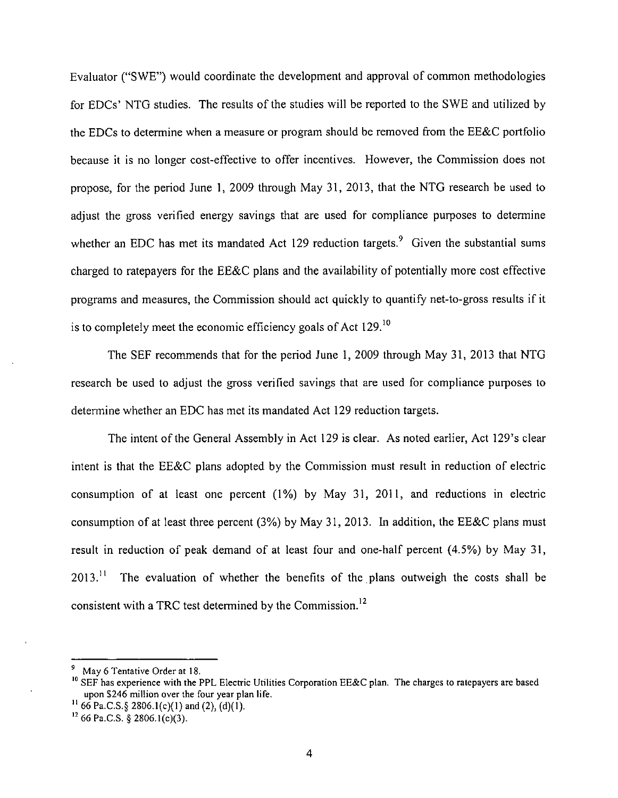Evaluator ("SWE") would coordinate the development and approval of common methodologies for EDCs' NTG studies. The results of the studies will be reported to the SWE and utilized by the EDCs to determine when a measure or program should be removed from the EE&C portfolio because it is no longer cost-effective to offer incentives. However, the Commission does not propose, for the period June 1, 2009 through May 31, 2013, that the NTG research be used to adjust the gross verified energy savings that are used for compliance purposes to determine whether an EDC has met its mandated Act 129 reduction targets.<sup>9</sup> Given the substantial sums charged to ratepayers for the EE&C plans and the availability of potentially more cost effective programs and measures, the Commission should act quickly to quantify net-to-gross results if it is to completely meet the economic efficiency goals of Act 129.<sup>10</sup>

The SEF recommends that for the period June 1, 2009 through May 31, 2013 that NTG research be used to adjust the gross verified savings that are used for compliance purposes to determine whether an EDC has met its mandated Act 129 reduction targets.

The intent of the General Assembly in Act 129 is clear. As noted earlier, Act 129's clear intent is that the EE&C plans adopted by the Commission must result in reduction of electric consumption of at least one percent (1%) by May 31, 2011, and reductions in electric consumption of at least three percent (3%) by May 31, 2013. In addition, the EE&C plans must result in reduction of peak demand of at least four and one-half percent (4.5%) by May 31,  $2013$ .<sup>11</sup> The evaluation of whether the benefits of the plans outweigh the costs shall be consistent with a TRC test determined by the Commission.<sup>12</sup>

May 6 Tentative Order at 18.

 $10$  SEF has experience with the PPL Electric Utilities Corporation EE&C plan. The charges to ratepayers are based upon \$246 million over the four year plan life.

<sup>&</sup>lt;sup>11</sup> 66 Pa.C.S.§ 2806.1(c)(1) and (2), (d)(1).

 $12$  66 Pa.C.S. § 2806.1(c)(3).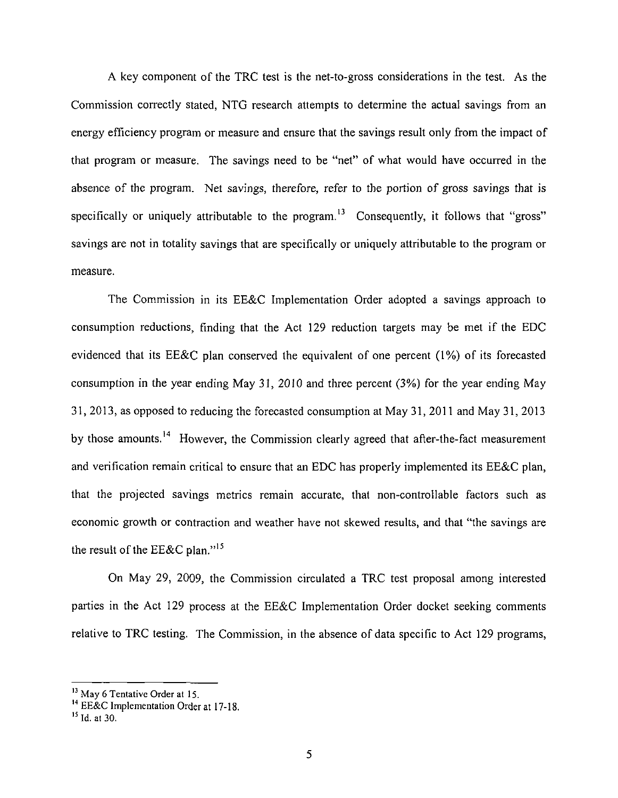A key component of the TRC test is the net-to-gross considerations in the test. As the Commission correctly stated, NTG research attempts to determine the actual savings from an energy efficiency program or measure and ensure that the savings result only from the impact of that program or measure. The savings need to be "net" of what would have occurred in the absence of the program. Net savings, therefore, refer to the portion of gross savings that is specifically or uniquely attributable to the program.<sup>13</sup> Consequently, it follows that "gross" savings are not in totality savings that are specifically or uniquely attributable to the program or measure.

The Commission in its EE&C Implementation Order adopted a savings approach to consumption reductions, finding that the Act 129 reduction targets may be met if the EDC evidenced that its EE&C plan conserved the equivalent of one percent (1%) of its forecasted consumption in the year ending May 31, 2010 and three percent (3%) for the year ending May 31, 2013, as opposed to reducing the forecasted consumption at May 31, 2011 and May 31, 2013 by those amounts.<sup>14</sup> However, the Commission clearly agreed that after-the-fact measurement and verification remain critical to ensure that an EDC has properly implemented its EE&C plan, that the projected savings metrics remain accurate, that non-controllable factors such as economic growth or contraction and weather have not skewed results, and that "the savings are the result of the EE&C plan."<sup>15</sup>

On May 29, 2009, the Commission circulated a TRC test proposal among interested parties in the Act 129 process at the EE&C Implementation Order docket seeking comments relative to TRC testing. The Commission, in the absence of data specific to Act 129 programs,

<sup>&</sup>lt;sup>13</sup> May 6 Tentative Order at 15.<br><sup>14</sup> EE&C Implementation Order at 17-18.

 $^{15}$  Id. at 30.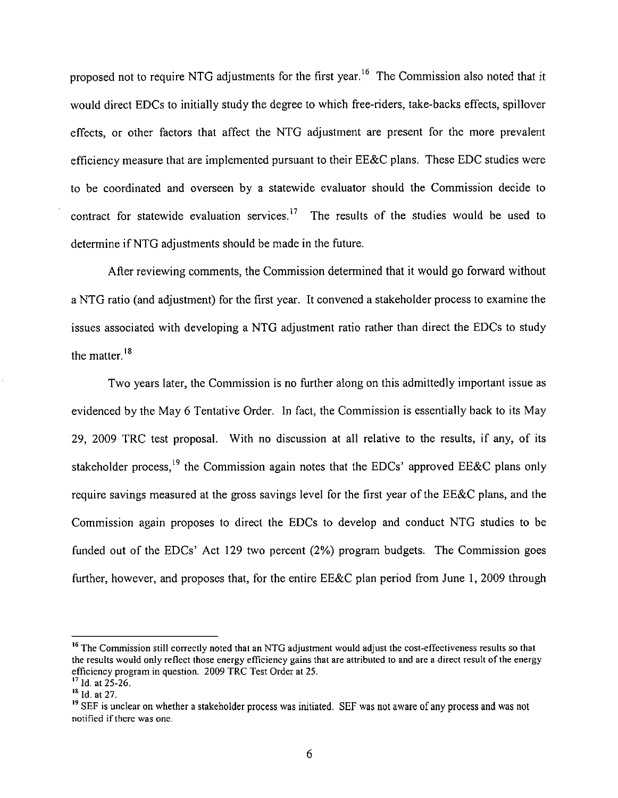proposed not to require NTG adjustments for the first year.<sup>16</sup> The Commission also noted that it would direct EDCs to initially study the degree to which free-riders, take-backs effects, spillover effects, or other factors that affect the NTG adjustment are present for the more prevalent efficiency measure that are implemented pursuant to their EE&C plans. These EDC studies were to be coordinated and overseen by a statewide evaluator should the Commission decide to contract for statewide evaluation services.<sup>17</sup> The results of the studies would be used to determine if NTG adjustments should be made in the future.

After reviewing comments, the Commission determined that it would go forward without a NTG ratio (and adjustment) for the first year. It convened a stakeholder process to examine the issues associated with developing a NTG adjustment ratio rather than direct the EDCs to study the matter.<sup>18</sup>

Two years later, the Commission is no further along on this admittedly important issue as evidenced by the May 6 Tentative Order. In fact, the Commission is essentially back to its May 29, 2009 TRC test proposal. With no discussion at all relative to the results, if any, of its stakeholder process,<sup>19</sup> the Commission again notes that the EDCs' approved EE&C plans only require savings measured at the gross savings level for the first year of the EE&C plans, and the Commission again proposes to direct the EDCs to develop and conduct NTG studies to be funded out of the EDCs' Act 129 two percent (2%) program budgets. The Commission goes further, however, and proposes that, for the entire EE&C plan period from June 1, 2009 through

<sup>&</sup>lt;sup>16</sup> The Commission still correctly noted that an NTG adjustment would adjust the cost-effectiveness results so that the results would only reflect those energy efficiency gains that are attributed to and are a direct result of the energy efficiency program in question. 2009 TRC Test Order at 25.

 $^{17}$  Id. at 25-26.

 $\frac{18}{10}$  Id. at 27.

<sup>&</sup>lt;sup>19</sup> SEF is unclear on whether a stakeholder process was initiated. SEF was not aware of any process and was not notified if there was one.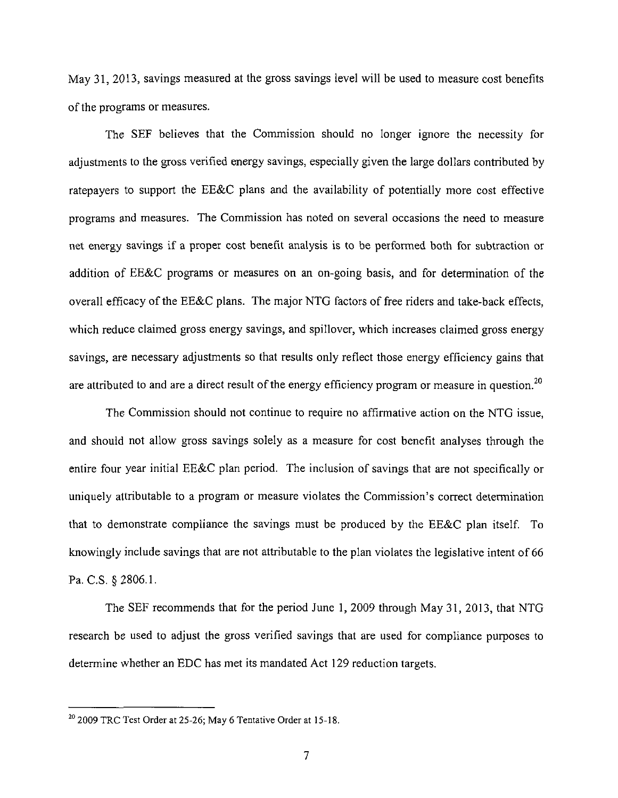May 31, 2013, savings measured at the gross savings level will be used to measure cost benefits of the programs or measures.

The SEF believes that the Commission should no longer ignore the necessity for adjustments to the gross verified energy savings, especially given the large dollars contributed by ratepayers to support the EE&C plans and the availability of potentially more cost effective programs and measures. The Commission has noted on several occasions the need to measure net energy savings if a proper cost benefit analysis is to be performed both for subtraction or addition of EE&C programs or measures on an on-going basis, and for determination of the overall efficacy of the EE&C plans. The major NTG factors of free riders and take-back effects, which reduce claimed gross energy savings, and spillover, which increases claimed gross energy savings, are necessary adjustments so that results only reflect those energy efficiency gains that are attributed to and are a direct result of the energy efficiency program or measure in question.<sup>20</sup>

The Commission should not continue to require no affirmative action on the NTG issue, and should not allow gross savings solely as a measure for cost benefit analyses through the entire four year initial EE&C plan period. The inclusion of savings that are not specifically or uniquely attributable to a program or measure violates the Commission's correct determination that to demonstrate compliance the savings must be produced by the EE&C plan itself. To knowingly include savings that are not attributable to the plan violates the legislative intent of 66 Pa. C.S. §2806.1.

The SEF recommends that for the period June 1, 2009 through May 31, 2013, that NTG research be used to adjust the gross verified savings that are used for compliance purposes to determine whether an EDC has met its mandated Act 129 reduction targets.

**<sup>20</sup>**2009 TRC Test Order at 25-26; May 6 Tentative Order at 15-18.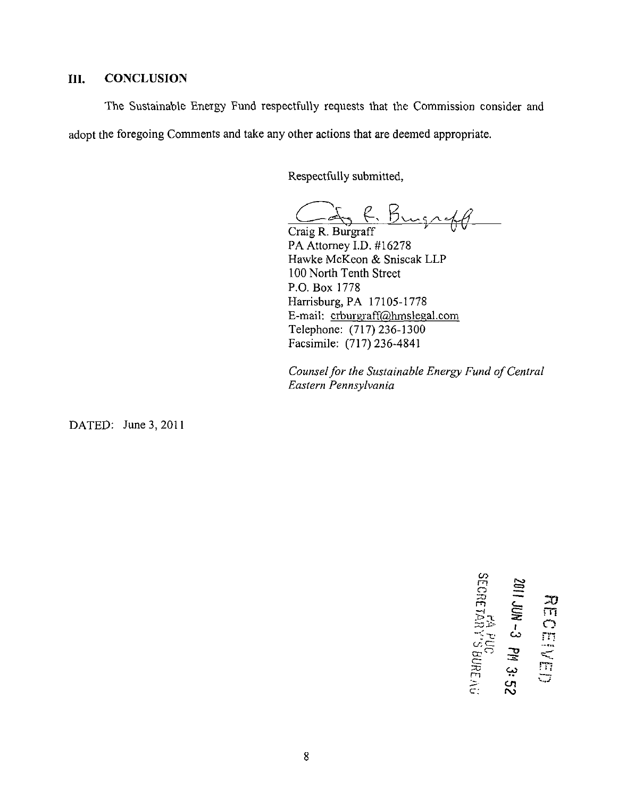# **III. CONCLUSION**

The Sustainable Energy Fund respectfully requests that the Commission consider and adopt the foregoing Comments and take any other actions that are deemed appropriate.

Respectfully submitted,

Craig R. Burgraff

PA Attorney I.D. #16278 Hawke McKeon & Sniscak LLP 100 North Tenth Street P.O. Box 1778 Harrisburg, PA 17105-1778 E-mail: crburgraff@hmslegal.com Telephone: (717)236-1300 Facsimile: (717) 236-4841

*Counsel for the Sustainable Energy Fund of Central Eastern Pennsylvania* 

DATED: June 3, 2011

**I CO m o TT) بی** ﷺ **cs**  $\approx$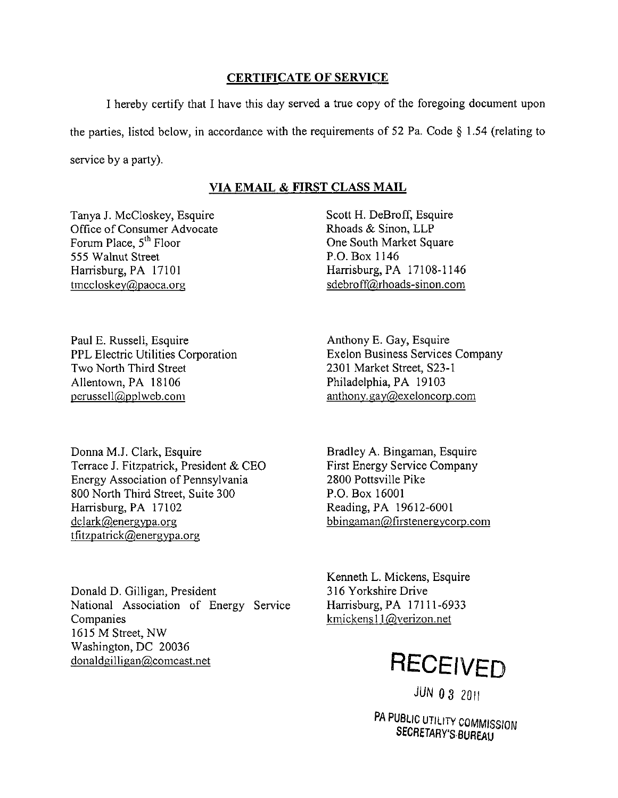# **CERTIFICATE OF SERVICE**

I hereby certify that I have this day served a true copy of the foregoing document upon the parties, listed below, in accordance with the requirements of 52 Pa. Code § 1.54 (relating to service by a party).

# **VIA EMAIL & FIRST CLASS MAIL**

Tanya J. McCloskey, Esquire Office of Consumer Advocate Forum Place, 5<sup>th</sup> Floor 555 Walnut Street Harrisburg, PA 17101 tmccloskey@paoca.org

Scott H. DeBroff, Esquire Rhoads & Sinon, LLP One South Market Square P.O. Box 1146 Harrisburg, PA 17108-1146 sdebroff@rhoads-sinon.com

Paul E. Russell, Esquire PPL Electric Utilities Corporation Two North Third Street Allentown, PA 18106 perussell@pplweb.com

Donna M.J. Clark, Esquire Terrace J. Fitzpatrick, President & CEO Energy Association of Pennsylvania 800 North Third Street, Suite 300 Harrisburg, PA 17102 dclark@eneravpa.org tfitzpatrick@energvpa.org

Donald D. Gilligan, President National Association of Energy Service Companies 1615 M Street, NW Washington, DC 20036 donaldgilligan@comcast.net

Anthony E. Gay, Esquire Exelon Business Services Company 2301 Market Street, S23-1 Philadelphia, PA 19103 anthony.gay@exeloncorp.com

Bradley A. Bingaman, Esquire First Energy Service Company 2800 Pottsville Pike P.O. Box 16001 Reading, PA 19612-6001 bbingaman@firstenergvcorp.com

Kenneth L. Mickens, Esquire 316 Yorkshire Drive Harrisburg, PA 17111-6933 kmickensl l@verizon.net



**JUN 0 3 2011** 

PA PUBLIC UTILITY COMMISSION SECRETARY'S BUREAU